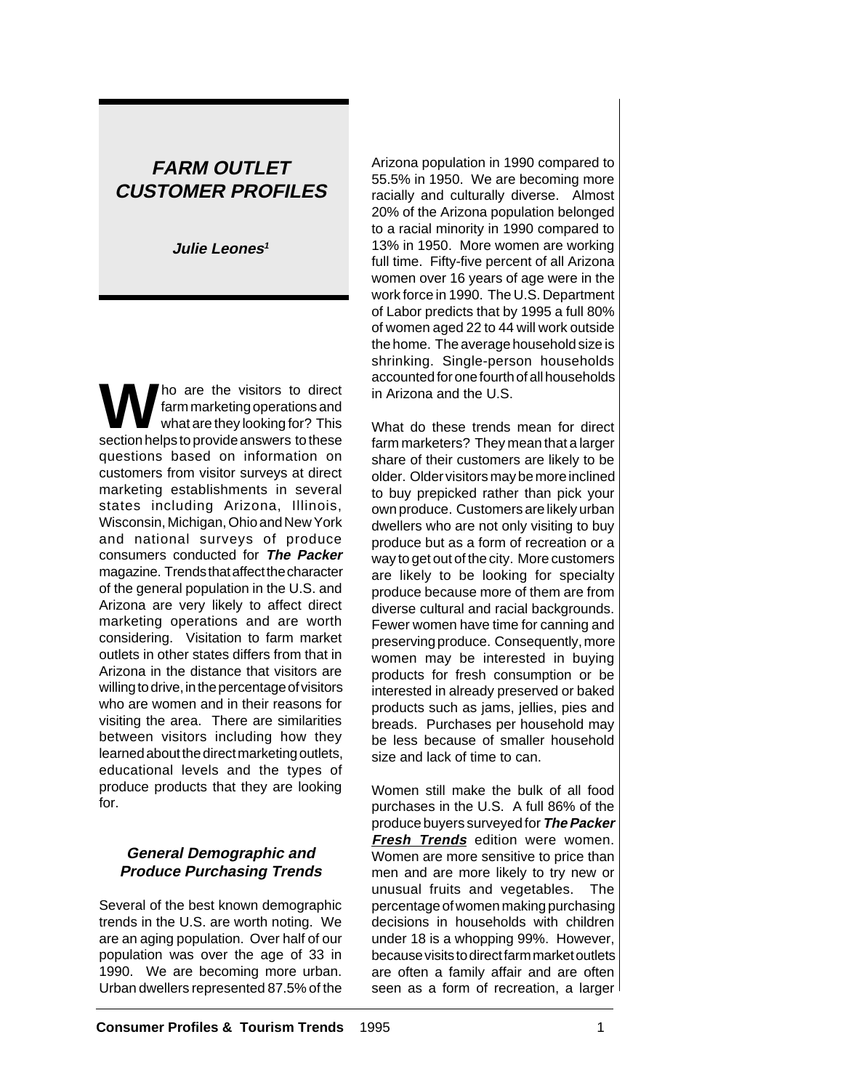# **FARM OUTLET CUSTOMER PROFILES**

**Julie Leones<sup>1</sup>**

W ho are the visitors to direct<br>what are they looking for? This farm marketing operations and section helps to provide answers to these questions based on information on customers from visitor surveys at direct marketing establishments in several states including Arizona, Illinois, Wisconsin, Michigan, Ohio and New York and national surveys of produce consumers conducted for **The Packer** magazine. Trends that affect the character of the general population in the U.S. and Arizona are very likely to affect direct marketing operations and are worth considering. Visitation to farm market outlets in other states differs from that in Arizona in the distance that visitors are willing to drive, in the percentage of visitors who are women and in their reasons for visiting the area. There are similarities between visitors including how they learned about the direct marketing outlets, educational levels and the types of produce products that they are looking for.

### **General Demographic and Produce Purchasing Trends**

Several of the best known demographic trends in the U.S. are worth noting. We are an aging population. Over half of our population was over the age of 33 in 1990. We are becoming more urban. Urban dwellers represented 87.5% of the Arizona population in 1990 compared to 55.5% in 1950. We are becoming more racially and culturally diverse. Almost 20% of the Arizona population belonged to a racial minority in 1990 compared to 13% in 1950. More women are working full time. Fifty-five percent of all Arizona women over 16 years of age were in the work force in 1990. The U.S. Department of Labor predicts that by 1995 a full 80% of women aged 22 to 44 will work outside the home. The average household size is shrinking. Single-person households accounted for one fourth of all households in Arizona and the U.S.

What do these trends mean for direct farm marketers? They mean that a larger share of their customers are likely to be older. Older visitors may be more inclined to buy prepicked rather than pick your own produce. Customers are likely urban dwellers who are not only visiting to buy produce but as a form of recreation or a way to get out of the city. More customers are likely to be looking for specialty produce because more of them are from diverse cultural and racial backgrounds. Fewer women have time for canning and preserving produce. Consequently, more women may be interested in buying products for fresh consumption or be interested in already preserved or baked products such as jams, jellies, pies and breads. Purchases per household may be less because of smaller household size and lack of time to can.

Women still make the bulk of all food purchases in the U.S. A full 86% of the produce buyers surveyed for **The Packer Fresh Trends** edition were women. Women are more sensitive to price than men and are more likely to try new or unusual fruits and vegetables. The percentage of women making purchasing decisions in households with children under 18 is a whopping 99%. However, because visits to direct farm market outlets are often a family affair and are often seen as a form of recreation, a larger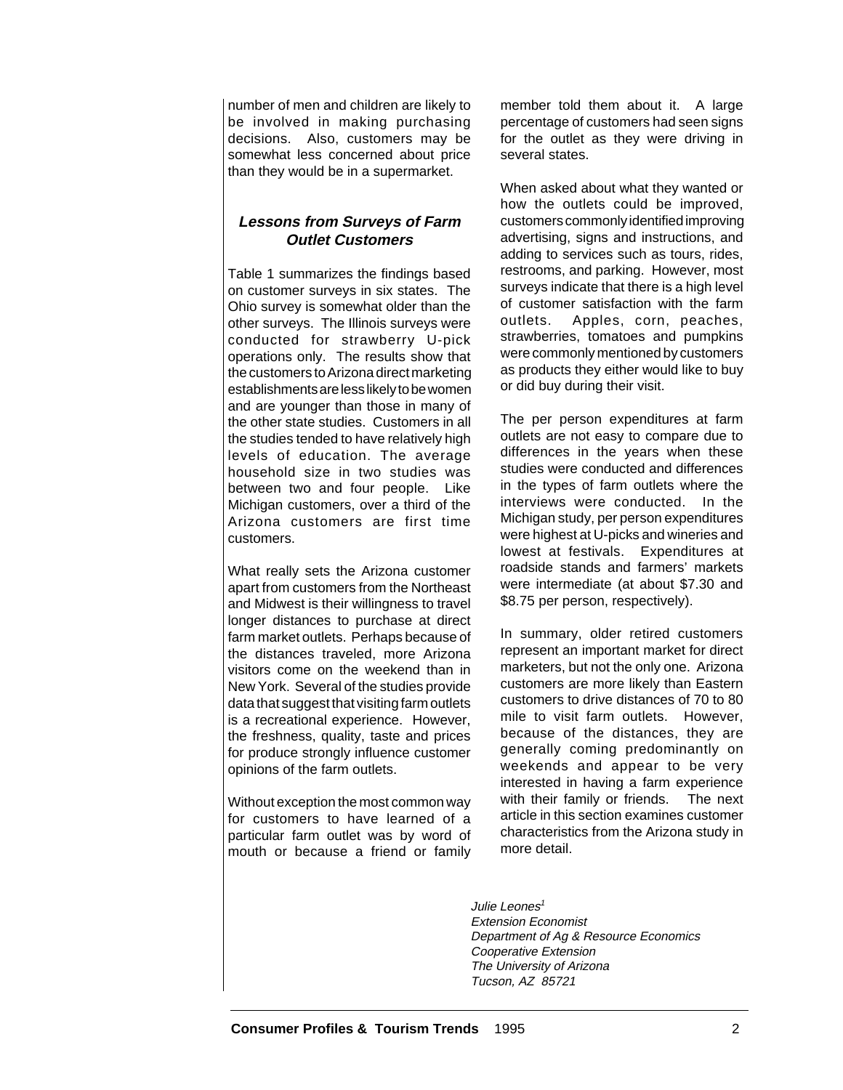number of men and children are likely to be involved in making purchasing decisions. Also, customers may be somewhat less concerned about price than they would be in a supermarket.

### **Lessons from Surveys of Farm Outlet Customers**

Table 1 summarizes the findings based on customer surveys in six states. The Ohio survey is somewhat older than the other surveys. The Illinois surveys were conducted for strawberry U-pick operations only. The results show that the customers to Arizona direct marketing establishments are less likely to be women and are younger than those in many of the other state studies. Customers in all the studies tended to have relatively high levels of education. The average household size in two studies was between two and four people. Like Michigan customers, over a third of the Arizona customers are first time customers.

What really sets the Arizona customer apart from customers from the Northeast and Midwest is their willingness to travel longer distances to purchase at direct farm market outlets. Perhaps because of the distances traveled, more Arizona visitors come on the weekend than in New York. Several of the studies provide data that suggest that visiting farm outlets is a recreational experience. However, the freshness, quality, taste and prices for produce strongly influence customer opinions of the farm outlets.

Without exception the most common way for customers to have learned of a particular farm outlet was by word of mouth or because a friend or family

member told them about it. A large percentage of customers had seen signs for the outlet as they were driving in several states.

When asked about what they wanted or how the outlets could be improved, customers commonly identified improving advertising, signs and instructions, and adding to services such as tours, rides, restrooms, and parking. However, most surveys indicate that there is a high level of customer satisfaction with the farm outlets. Apples, corn, peaches, strawberries, tomatoes and pumpkins were commonly mentioned by customers as products they either would like to buy or did buy during their visit.

The per person expenditures at farm outlets are not easy to compare due to differences in the years when these studies were conducted and differences in the types of farm outlets where the interviews were conducted. In the Michigan study, per person expenditures were highest at U-picks and wineries and lowest at festivals. Expenditures at roadside stands and farmers' markets were intermediate (at about \$7.30 and \$8.75 per person, respectively).

In summary, older retired customers represent an important market for direct marketers, but not the only one. Arizona customers are more likely than Eastern customers to drive distances of 70 to 80 mile to visit farm outlets. However, because of the distances, they are generally coming predominantly on weekends and appear to be very interested in having a farm experience with their family or friends. The next article in this section examines customer characteristics from the Arizona study in more detail.

Julie Leones<sup>1</sup> Extension Economist Department of Ag & Resource Economics Cooperative Extension The University of Arizona Tucson, AZ 85721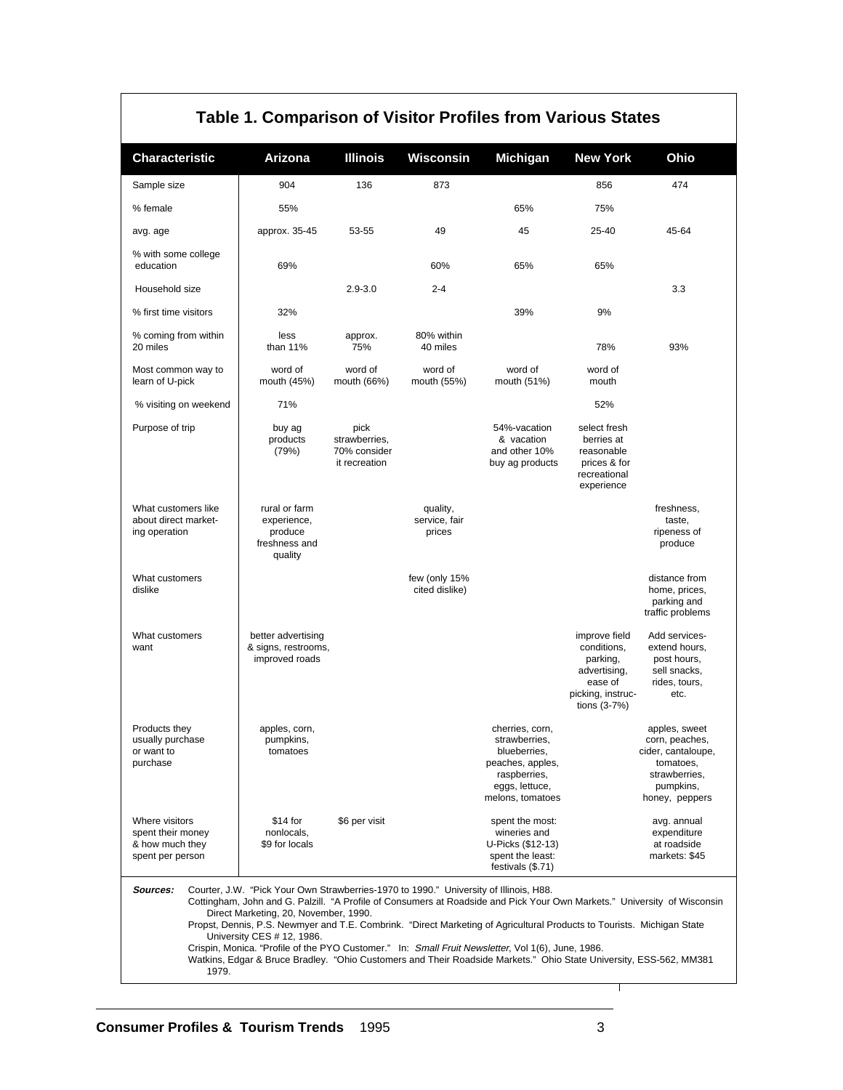| Table 1. Comparison of Visitor Profiles from Various States                |                                                                                                                                                                                                                                                                                                                                                                                                                                                                                                                                                                                                                                               |                                                        |                                     |                                                                                                                            |                                                                                                            |                                                                                                                    |
|----------------------------------------------------------------------------|-----------------------------------------------------------------------------------------------------------------------------------------------------------------------------------------------------------------------------------------------------------------------------------------------------------------------------------------------------------------------------------------------------------------------------------------------------------------------------------------------------------------------------------------------------------------------------------------------------------------------------------------------|--------------------------------------------------------|-------------------------------------|----------------------------------------------------------------------------------------------------------------------------|------------------------------------------------------------------------------------------------------------|--------------------------------------------------------------------------------------------------------------------|
| <b>Characteristic</b>                                                      | Arizona                                                                                                                                                                                                                                                                                                                                                                                                                                                                                                                                                                                                                                       | <b>Illinois</b>                                        | Wisconsin                           | Michigan                                                                                                                   | <b>New York</b>                                                                                            | Ohio                                                                                                               |
| Sample size                                                                | 904                                                                                                                                                                                                                                                                                                                                                                                                                                                                                                                                                                                                                                           | 136                                                    | 873                                 |                                                                                                                            | 856                                                                                                        | 474                                                                                                                |
| % female                                                                   | 55%                                                                                                                                                                                                                                                                                                                                                                                                                                                                                                                                                                                                                                           |                                                        |                                     | 65%                                                                                                                        | 75%                                                                                                        |                                                                                                                    |
| avg. age                                                                   | approx. 35-45                                                                                                                                                                                                                                                                                                                                                                                                                                                                                                                                                                                                                                 | 53-55                                                  | 49                                  | 45                                                                                                                         | 25-40                                                                                                      | 45-64                                                                                                              |
| % with some college<br>education                                           | 69%                                                                                                                                                                                                                                                                                                                                                                                                                                                                                                                                                                                                                                           |                                                        | 60%                                 | 65%                                                                                                                        | 65%                                                                                                        |                                                                                                                    |
| Household size                                                             |                                                                                                                                                                                                                                                                                                                                                                                                                                                                                                                                                                                                                                               | $2.9 - 3.0$                                            | $2 - 4$                             |                                                                                                                            |                                                                                                            | 3.3                                                                                                                |
| % first time visitors                                                      | 32%                                                                                                                                                                                                                                                                                                                                                                                                                                                                                                                                                                                                                                           |                                                        |                                     | 39%                                                                                                                        | 9%                                                                                                         |                                                                                                                    |
| % coming from within<br>20 miles                                           | less<br>than 11%                                                                                                                                                                                                                                                                                                                                                                                                                                                                                                                                                                                                                              | approx.<br>75%                                         | 80% within<br>40 miles              |                                                                                                                            | 78%                                                                                                        | 93%                                                                                                                |
| Most common way to<br>learn of U-pick                                      | word of<br>mouth (45%)                                                                                                                                                                                                                                                                                                                                                                                                                                                                                                                                                                                                                        | word of<br>mouth (66%)                                 | word of<br>mouth (55%)              | word of<br>mouth (51%)                                                                                                     | word of<br>mouth                                                                                           |                                                                                                                    |
| % visiting on weekend                                                      | 71%                                                                                                                                                                                                                                                                                                                                                                                                                                                                                                                                                                                                                                           |                                                        |                                     |                                                                                                                            | 52%                                                                                                        |                                                                                                                    |
| Purpose of trip                                                            | buy ag<br>products<br>(79%)                                                                                                                                                                                                                                                                                                                                                                                                                                                                                                                                                                                                                   | pick<br>strawberries,<br>70% consider<br>it recreation |                                     | 54%-vacation<br>& vacation<br>and other 10%<br>buy ag products                                                             | select fresh<br>berries at<br>reasonable<br>prices & for<br>recreational<br>experience                     |                                                                                                                    |
| What customers like<br>about direct market-<br>ing operation               | rural or farm<br>experience,<br>produce<br>freshness and<br>quality                                                                                                                                                                                                                                                                                                                                                                                                                                                                                                                                                                           |                                                        | quality,<br>service, fair<br>prices |                                                                                                                            |                                                                                                            | freshness,<br>taste,<br>ripeness of<br>produce                                                                     |
| What customers<br>dislike                                                  |                                                                                                                                                                                                                                                                                                                                                                                                                                                                                                                                                                                                                                               |                                                        | few (only 15%<br>cited dislike)     |                                                                                                                            |                                                                                                            | distance from<br>home, prices,<br>parking and<br>traffic problems                                                  |
| What customers<br>want                                                     | better advertising<br>& signs, restrooms,<br>improved roads                                                                                                                                                                                                                                                                                                                                                                                                                                                                                                                                                                                   |                                                        |                                     |                                                                                                                            | improve field<br>conditions,<br>parking,<br>advertising,<br>ease of<br>picking, instruc-<br>tions $(3-7%)$ | Add services-<br>extend hours.<br>post hours,<br>sell snacks,<br>rides, tours,<br>etc.                             |
| Products they<br>usually purchase<br>or want to<br>purchase                | apples, corn,<br>pumpkins,<br>tomatoes                                                                                                                                                                                                                                                                                                                                                                                                                                                                                                                                                                                                        |                                                        |                                     | cherries, corn,<br>strawberries,<br>blueberries.<br>peaches, apples,<br>raspberries,<br>eggs, lettuce,<br>melons, tomatoes |                                                                                                            | apples, sweet<br>corn, peaches,<br>cider, cantaloupe,<br>tomatoes,<br>strawberries.<br>pumpkins,<br>honey, peppers |
| Where visitors<br>spent their money<br>& how much they<br>spent per person | \$14 for<br>nonlocals,<br>\$9 for locals                                                                                                                                                                                                                                                                                                                                                                                                                                                                                                                                                                                                      | \$6 per visit                                          |                                     | spent the most:<br>wineries and<br>U-Picks (\$12-13)<br>spent the least:<br>festivals (\$.71)                              |                                                                                                            | avg. annual<br>expenditure<br>at roadside<br>markets: \$45                                                         |
| Sources:<br>1979.                                                          | Courter, J.W. "Pick Your Own Strawberries-1970 to 1990." University of Illinois, H88.<br>Cottingham, John and G. Palzill. "A Profile of Consumers at Roadside and Pick Your Own Markets." University of Wisconsin<br>Direct Marketing, 20, November, 1990.<br>Propst, Dennis, P.S. Newmyer and T.E. Combrink. "Direct Marketing of Agricultural Products to Tourists. Michigan State<br>University CES # 12, 1986.<br>Crispin, Monica. "Profile of the PYO Customer." In: Small Fruit Newsletter, Vol 1(6), June, 1986.<br>Watkins, Edgar & Bruce Bradley. "Ohio Customers and Their Roadside Markets." Ohio State University, ESS-562, MM381 |                                                        |                                     |                                                                                                                            |                                                                                                            |                                                                                                                    |